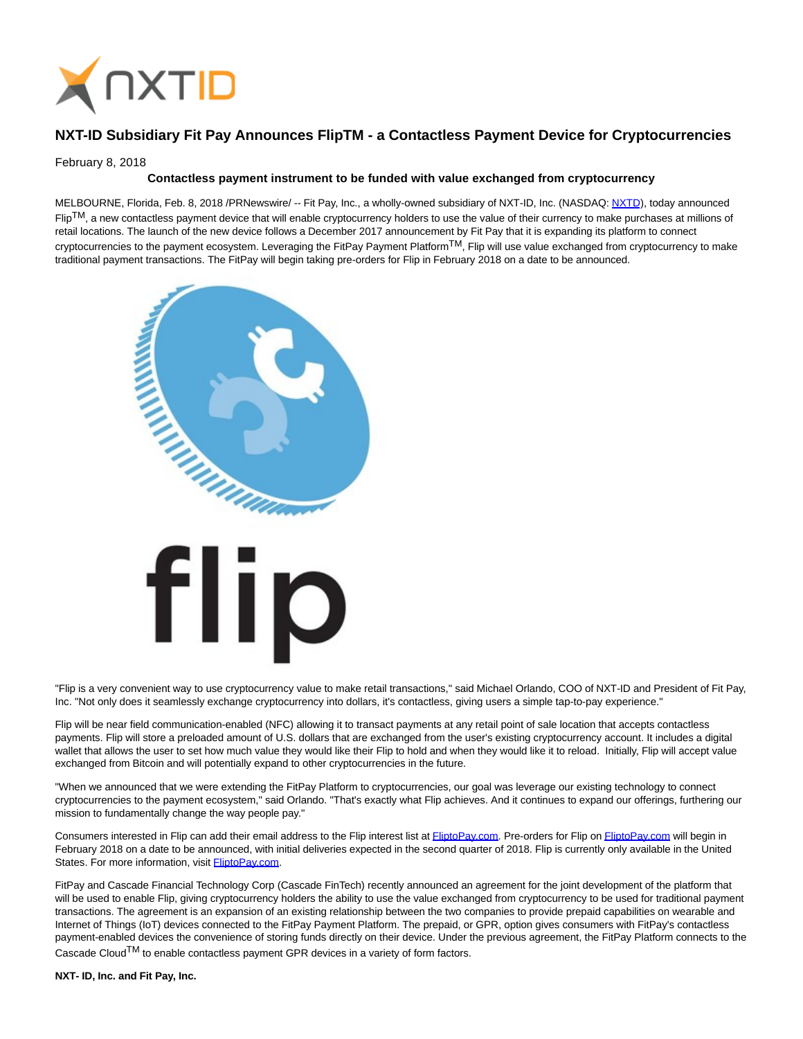

## **NXT-ID Subsidiary Fit Pay Announces FlipTM - a Contactless Payment Device for Cryptocurrencies**

February 8, 2018

## **Contactless payment instrument to be funded with value exchanged from cryptocurrency**

MELBOURNE, Florida, Feb. 8, 2018 /PRNewswire/ -- Fit Pay, Inc., a wholly-owned subsidiary of NXT-ID, Inc. (NASDAQ: [NXTD\)](https://finance.yahoo.com/q?s=nxtd), today announced  $FlipTM$ , a new contactless payment device that will enable cryptocurrency holders to use the value of their currency to make purchases at millions of retail locations. The launch of the new device follows a December 2017 announcement by Fit Pay that it is expanding its platform to connect cryptocurrencies to the payment ecosystem. Leveraging the FitPay Payment Platform<sup>TM</sup>, Flip will use value exchanged from cryptocurrency to make traditional payment transactions. The FitPay will begin taking pre-orders for Flip in February 2018 on a date to be announced.



"Flip is a very convenient way to use cryptocurrency value to make retail transactions," said Michael Orlando, COO of NXT-ID and President of Fit Pay, Inc. "Not only does it seamlessly exchange cryptocurrency into dollars, it's contactless, giving users a simple tap-to-pay experience."

Flip will be near field communication-enabled (NFC) allowing it to transact payments at any retail point of sale location that accepts contactless payments. Flip will store a preloaded amount of U.S. dollars that are exchanged from the user's existing cryptocurrency account. It includes a digital wallet that allows the user to set how much value they would like their Flip to hold and when they would like it to reload. Initially, Flip will accept value exchanged from Bitcoin and will potentially expand to other cryptocurrencies in the future.

"When we announced that we were extending the FitPay Platform to cryptocurrencies, our goal was leverage our existing technology to connect cryptocurrencies to the payment ecosystem," said Orlando. "That's exactly what Flip achieves. And it continues to expand our offerings, furthering our mission to fundamentally change the way people pay."

Consumers interested in Flip can add their email address to the Flip interest list at [FliptoPay.com.](http://www.fliptopay.com/) Pre-orders for Flip o[n FliptoPay.com w](http://www.fliptopay.com/)ill begin in February 2018 on a date to be announced, with initial deliveries expected in the second quarter of 2018. Flip is currently only available in the United States. For more information, visit **FliptoPay.com**.

FitPay and Cascade Financial Technology Corp (Cascade FinTech) recently announced an agreement for the joint development of the platform that will be used to enable Flip, giving cryptocurrency holders the ability to use the value exchanged from cryptocurrency to be used for traditional payment transactions. The agreement is an expansion of an existing relationship between the two companies to provide prepaid capabilities on wearable and Internet of Things (IoT) devices connected to the FitPay Payment Platform. The prepaid, or GPR, option gives consumers with FitPay's contactless payment-enabled devices the convenience of storing funds directly on their device. Under the previous agreement, the FitPay Platform connects to the Cascade Cloud<sup>TM</sup> to enable contactless payment GPR devices in a variety of form factors.

**NXT- ID, Inc. and Fit Pay, Inc.**